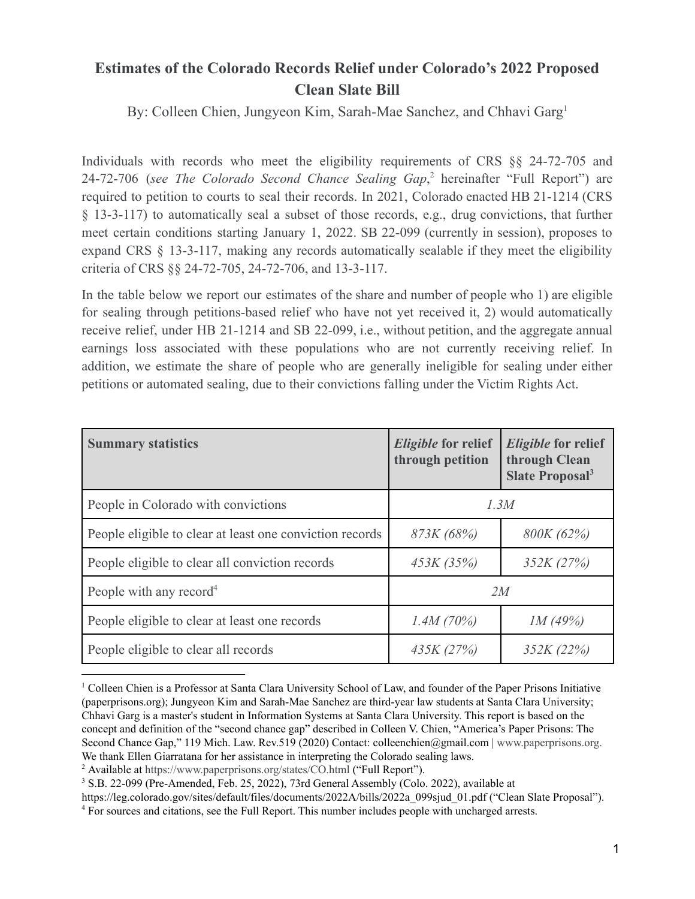## **Estimates of the Colorado Records Relief under Colorado's 2022 Proposed Clean Slate Bill**

By: Colleen Chien, Jungyeon Kim, Sarah-Mae Sanchez, and Chhavi Garg 1

Individuals with records who meet the eligibility requirements of CRS §§ 24-72-705 and 24-72-706 (see *The Colorado Second Chance Sealing Gap*,<sup>2</sup> hereinafter "Full Report") are required to petition to courts to seal their records. In 2021, Colorado enacted HB 21-1214 (CRS § 13-3-117) to automatically seal a subset of those records, e.g., drug convictions, that further meet certain conditions starting January 1, 2022. SB 22-099 (currently in session), proposes to expand CRS § 13-3-117, making any records automatically sealable if they meet the eligibility criteria of CRS §§ 24-72-705, 24-72-706, and 13-3-117.

In the table below we report our estimates of the share and number of people who 1) are eligible for sealing through petitions-based relief who have not yet received it, 2) would automatically receive relief, under HB 21-1214 and SB 22-099, i.e., without petition, and the aggregate annual earnings loss associated with these populations who are not currently receiving relief. In addition, we estimate the share of people who are generally ineligible for sealing under either petitions or automated sealing, due to their convictions falling under the Victim Rights Act.

| <b>Summary statistics</b>                                | <i>Eligible</i> for relief<br>through petition | <b>Eligible</b> for relief<br>through Clean<br>Slate Proposal <sup>3</sup> |
|----------------------------------------------------------|------------------------------------------------|----------------------------------------------------------------------------|
| People in Colorado with convictions                      | 1.3M                                           |                                                                            |
| People eligible to clear at least one conviction records | 873K (68%)                                     | 800K (62%)                                                                 |
| People eligible to clear all conviction records          | 453K(35%)                                      | 352K(27%)                                                                  |
| People with any record <sup>4</sup>                      | 2M                                             |                                                                            |
| People eligible to clear at least one records            | 1.4M(70%)                                      | IM(49%)                                                                    |
| People eligible to clear all records                     | 435K(27%)                                      | 352K (22%)                                                                 |

<sup>&</sup>lt;sup>1</sup> Colleen Chien is a Professor at Santa Clara University School of Law, and founder of the Paper Prisons Initiative (paperprisons.org); Jungyeon Kim and Sarah-Mae Sanchez are third-year law students at Santa Clara University; Chhavi Garg is a master's student in Information Systems at Santa Clara University. This report is based on the concept and definition of the "second chance gap" described in Colleen V. Chien, "America's Paper Prisons: The Second Chance Gap," 119 Mich. Law. Rev.519 (2020) Contact: colleenchien@gmail.com | [www.paperprisons.org](http://www.paperprisons.org). We thank Ellen Giarratana for her assistance in interpreting the Colorado sealing laws.

<sup>2</sup> Available at <https://www.paperprisons.org/states/CO.html> ("Full Report").

<sup>3</sup> S.B. 22-099 (Pre-Amended, Feb. 25, 2022), 73rd General Assembly (Colo. 2022), available at

https://leg.colorado.gov/sites/default/files/documents/2022A/bills/2022a\_099sjud\_01.pdf ("Clean Slate Proposal").

<sup>4</sup> For sources and citations, see the Full Report. This number includes people with uncharged arrests.